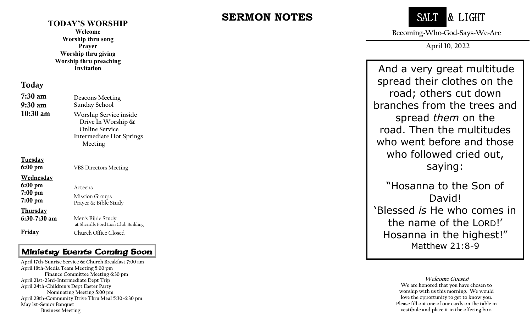#### **TODAY'S WORSHIP**

**Welcome Worship thru song Prayer Worship thru giving Worship thru preaching Invitation**

#### Today

| $7:30 \text{ am}$<br>$9:30 \text{ am}$                  | <b>Deacons Meeting</b><br><b>Sunday School</b>                                                           |
|---------------------------------------------------------|----------------------------------------------------------------------------------------------------------|
| $10:30 \text{ am}$                                      | Worship Service inside<br>Drive In Worship $\&$<br>Online Service<br>Intermediate Hot Springs<br>Meeting |
| <b>Tuesday</b><br>6:00 pm                               | <b>VBS Directors Meeting</b>                                                                             |
| <b>Wednesday</b><br>$6:00$ pm<br>$7:00$ pm<br>$7:00$ pm | Acteens<br><b>Mission Groups</b><br>Prayer & Bible Study                                                 |
| <b>Thursday</b><br>$6:30-7:30$ am                       | Men's Bible Study                                                                                        |

 $6:3$ Friday at Sherrills Ford Lion Club Building Church Office Closed

#### Ministry Events Coming Soon

 **April 28th -Community Drive Thru Meal 5:30 -6:30 pm April 17th -Sunrise Service & Church Breakfast 7:00 am April 18th -Media Team Meeting 5:00 pm Finance Committee Meeting 6:30 pm April 21st -23rd -Intermediate Dept Trip April 24th -Children's Dept Easter Party Nominating Meeting 5:00 pm May 1st -Senior Banquet Business Meeting**

# **SERMON NOTES**



**Becoming~Who~God~Says~We~Are**

**April 10, 2022**

And a very great multitude spread their clothes on the road; others cut down branches from the trees and spread *them* on the road. Then the multitudes who went before and those who followed cried out, saying:

"Hosanna to the Son of David! 'Blessed *is* He who comes in the name of the LORD!' Hosanna in the highest!" Matthew 21:8-9

> **Welcome Guests! We are honored that you have chosen to worship with us this morning. We would love the opportunity to get to know you. Please fill out one of our cards on the table in vestibule and place it in the offering box.**